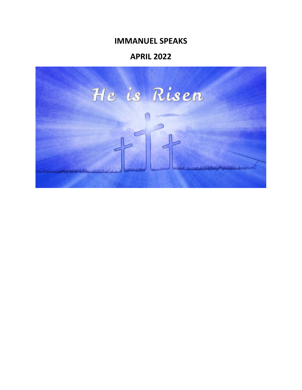# **IMMANUEL SPEAKS**

# **APRIL 2022**

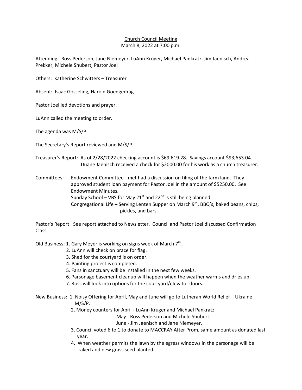## Church Council Meeting March 8, 2022 at 7:00 p.m.

Attending: Ross Pederson, Jane Niemeyer, LuAnn Kruger, Michael Pankratz, Jim Jaenisch, Andrea Prekker, Michele Shubert, Pastor Joel

Others: Katherine Schwitters – Treasurer

Absent: Isaac Gosseling, Harold Goedgedrag

Pastor Joel led devotions and prayer.

LuAnn called the meeting to order.

The agenda was M/S/P.

The Secretary's Report reviewed and M/S/P.

Treasurer's Report: As of 2/28/2022 checking account is \$69,619.28. Savings account \$93,653.04. Duane Jaenisch received a check for \$2000.00 for his work as a church treasurer.

Committees: Endowment Committee ‐ met had a discussion on tiling of the farm land. They approved student loan payment for Pastor Joel in the amount of \$5250.00. See Endowment Minutes. Sunday School – VBS for May 21<sup>st</sup> and 22<sup>nd</sup> is still being planned. Congregational Life – Serving Lenten Supper on March  $9<sup>th</sup>$ , BBQ's, baked beans, chips, pickles, and bars.

Pastor's Report: See report attached to Newsletter. Council and Pastor Joel discussed Confirmation Class.

Old Business: 1. Gary Meyer is working on signs week of March  $7<sup>th</sup>$ .

- 2. LuAnn will check on brace for flag.
- 3. Shed for the courtyard is on order.
- 4. Painting project is completed.
- 5. Fans in sanctuary will be installed in the next few weeks.
- 6. Parsonage basement cleanup will happen when the weather warms and dries up.
- 7. Ross will look into options for the courtyard/elevator doors.
- New Business: 1. Noisy Offering for April, May and June will go to Lutheran World Relief Ukraine M/S/P.
	- 2. Money counters for April ‐ LuAnn Kruger and Michael Pankratz.

May ‐ Ross Pederson and Michele Shubert.

- June ‐ Jim Jaenisch and Jane Niemeyer.
- 3. Council voted 6 to 1 to donate to MACCRAY After Prom, same amount as donated last year.
- 4. When weather permits the lawn by the egress windows in the parsonage will be raked and new grass seed planted.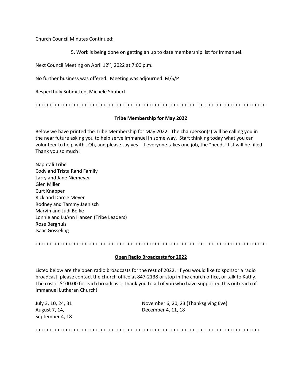Church Council Minutes Continued:

5. Work is being done on getting an up to date membership list for Immanuel.

Next Council Meeting on April 12<sup>th</sup>, 2022 at 7:00 p.m.

No further business was offered. Meeting was adjourned. M/S/P

Respectfully Submitted, Michele Shubert

+++++++++++++++++++++++++++++++++++++++++++++++++++++++++++++++++++++++++++++++++++++

#### **Tribe Membership for May 2022**

Below we have printed the Tribe Membership for May 2022. The chairperson(s) will be calling you in the near future asking you to help serve Immanuel in some way. Start thinking today what you can volunteer to help with…Oh, and please say yes! If everyone takes one job, the "needs" list will be filled. Thank you so much!

Naphtali Tribe Cody and Trista Rand Family Larry and Jane Niemeyer Glen Miller Curt Knapper Rick and Darcie Meyer Rodney and Tammy Jaenisch Marvin and Judi Boike Lonnie and LuAnn Hansen (Tribe Leaders) Rose Berghuis Isaac Gosseling

+++++++++++++++++++++++++++++++++++++++++++++++++++++++++++++++++++++++++++++++++++++

#### **Open Radio Broadcasts for 2022**

Listed below are the open radio broadcasts for the rest of 2022. If you would like to sponsor a radio broadcast, please contact the church office at 847‐2138 or stop in the church office, or talk to Kathy. The cost is \$100.00 for each broadcast. Thank you to all of you who have supported this outreach of Immanuel Lutheran Church!

September 4, 18

July 3, 10, 24, 31 November 6, 20, 23 (Thanksgiving Eve) August 7, 14, **August 7, 14**, **December 4, 11, 18** 

+++++++++++++++++++++++++++++++++++++++++++++++++++++++++++++++++++++++++++++++++++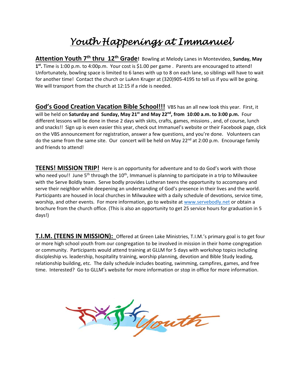# *Youth Happenings at Immanuel*

Attention Youth 7<sup>th</sup> thru 12<sup>th</sup> Grade! Bowling at Melody Lanes in Montevideo, Sunday, May **1st.** Time is 1:00 p.m. to 4:00p.m. Your cost is \$1.00 per game . Parents are encouraged to attend! Unfortunately, bowling space is limited to 6 lanes with up to 8 on each lane, so siblings will have to wait for another time! Contact the church or LuAnn Kruger at (320)905-4195 to tell us if you will be going. We will transport from the church at 12:15 if a ride is needed.

**God's Good Creation Vacation Bible School!!!** VBS has an all new look this year. First, it will be held on **Saturday and Sunday, May 21**<sup>st</sup> and May 22<sup>nd</sup>, from 10:00 a.m. to 3:00 p.m. Four different lessons will be done in these 2 days with skits, crafts, games, missions , and, of course, lunch and snacks!! Sign up is even easier this year, check out Immanuel's website or their Facebook page, click on the VBS announcement for registration, answer a few questions, and you're done. Volunteers can do the same from the same site. Our concert will be held on May 22<sup>nd</sup> at 2:00 p.m. Encourage family and friends to attend!

**TEENS! MISSION TRIP!** Here is an opportunity for adventure and to do God's work with those who need you!! June 5<sup>th</sup> through the 10<sup>th</sup>, Immanuel is planning to participate in a trip to Milwaukee with the Serve Boldly team. Serve bodly provides Lutheran teens the opportunity to accompany and serve their neighbor while deepening an understanding of God's presence in their lives and the world. Participants are housed in local churches in Milwaukee with a daily schedule of devotions, service time, worship, and other events. For more information, go to website at www.servebodly.net or obtain a brochure from the church office. (This is also an opportunity to get 25 service hours for graduation in 5 days!)

**T.I.M. (TEENS IN MISSION):** Offered at Green Lake Ministries, T.I.M.'s primary goal is to get four or more high school youth from our congregation to be involved in mission in their home congregation or community. Participants would attend training at GLLM for 5 days with workshop topics including discipleship vs. leadership, hospitality training, worship planning, devotion and Bible Study leading, relationship building, etc. The daily schedule includes boating, swimming, campfires, games, and free time. Interested? Go to GLLM's website for more information or stop in office for more information.

youth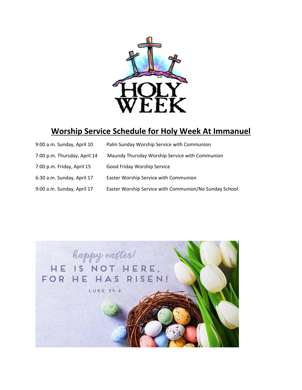

# **Worship Service Schedule for Holy Week At Immanuel**

| 9:00 a.m. Sunday, April 10   | Palm Sunday Worship Service with Communion             |
|------------------------------|--------------------------------------------------------|
| 7:00 p.m. Thursday, April 14 | Maundy Thursday Worship Service with Communion         |
| 7:00 p.m. Friday, April 15   | Good Friday Worship Service                            |
| 6:30 a.m. Sunday, April 17   | Easter Worship Service with Communion                  |
| 9:00 a.m. Sunday, April 17   | Easter Worship Service with Communion/No Sunday School |

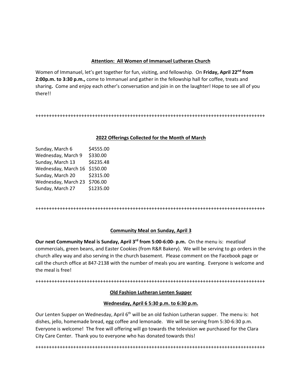## **Attention: All Women of Immanuel Lutheran Church**

Women of Immanuel, let's get together for fun, visiting, and fellowship. On Friday, April 22<sup>nd</sup> from **2:00p.m. to 3:30 p.m.,** come to Immanuel and gather in the fellowship hall for coffee, treats and sharing**.** Come and enjoy each other's conversation and join in on the laughter! Hope to see all of you there!!

+++++++++++++++++++++++++++++++++++++++++++++++++++++++++++++++++++++++++++++++++++++

#### **2022 Offerings Collected for the Month of March**

| Sunday, March 6     | \$4555.00 |
|---------------------|-----------|
| Wednesday, March 9  | \$330.00  |
| Sunday, March 13    | \$6235.48 |
| Wednesday, March 16 | \$150.00  |
| Sunday, March 20    | \$2315.00 |
| Wednesday, March 23 | \$706.00  |
| Sunday, March 27    | \$1235.00 |

+++++++++++++++++++++++++++++++++++++++++++++++++++++++++++++++++++++++++++++++++++++

## **Community Meal on Sunday, April 3**

**Our next Community Meal is Sunday, April 3rd from 5:00‐6:00‐ p.m.** On the menu is: meatloaf commercials, green beans, and Easter Cookies (from R&R Bakery). We will be serving to go orders in the church alley way and also serving in the church basement. Please comment on the Facebook page or call the church office at 847‐2138 with the number of meals you are wanting. Everyone is welcome and the meal is free!

+++++++++++++++++++++++++++++++++++++++++++++++++++++++++++++++++++++++++++++++++++++

## **Old Fashion Lutheran Lenten Supper**

## **Wednesday, April 6 5:30 p.m. to 6:30 p.m.**

Our Lenten Supper on Wednesday, April 6<sup>th</sup> will be an old fashion Lutheran supper. The menu is: hot dishes, jello, homemade bread, egg coffee and lemonade. We will be serving from 5:30‐6:30 p.m. Everyone is welcome! The free will offering will go towards the television we purchased for the Clara City Care Center. Thank you to everyone who has donated towards this!

+++++++++++++++++++++++++++++++++++++++++++++++++++++++++++++++++++++++++++++++++++++